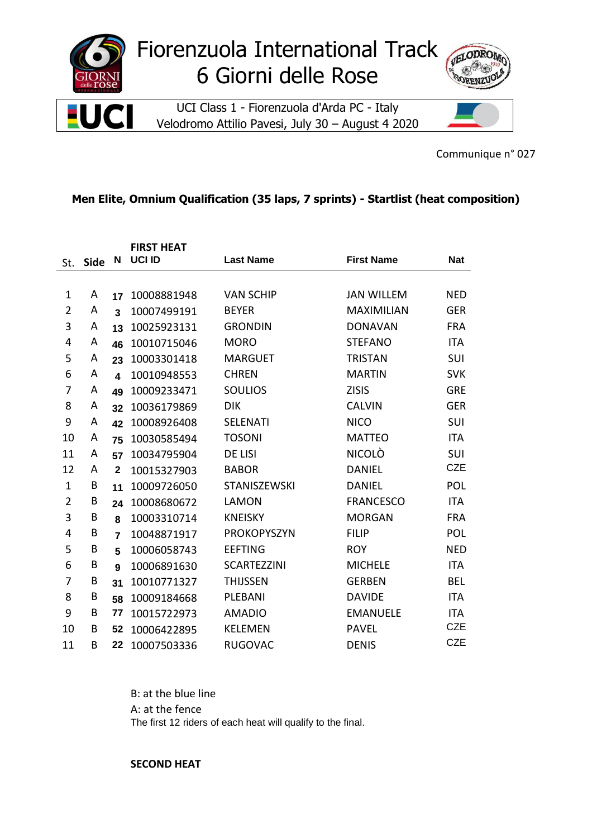

Communique n° 027

## **Men Elite, Omnium Qualification (35 laps, 7 sprints) - Startlist (heat composition)**

|                |             |                         | <b>FIRST HEAT</b> |                    |                   |            |
|----------------|-------------|-------------------------|-------------------|--------------------|-------------------|------------|
| St.            | <b>Side</b> | N                       | <b>UCI ID</b>     | <b>Last Name</b>   | <b>First Name</b> | <b>Nat</b> |
|                |             |                         |                   |                    |                   |            |
| 1              | A           | 17                      | 10008881948       | <b>VAN SCHIP</b>   | <b>JAN WILLEM</b> | <b>NED</b> |
| $\overline{2}$ | A           | $\overline{\mathbf{3}}$ | 10007499191       | <b>BEYER</b>       | <b>MAXIMILIAN</b> | <b>GER</b> |
| 3              | A           | 13                      | 10025923131       | <b>GRONDIN</b>     | <b>DONAVAN</b>    | <b>FRA</b> |
| 4              | A           | 46                      | 10010715046       | <b>MORO</b>        | <b>STEFANO</b>    | <b>ITA</b> |
| 5              | A           | 23                      | 10003301418       | <b>MARGUET</b>     | <b>TRISTAN</b>    | <b>SUI</b> |
| 6              | A           | $\overline{\mathbf{4}}$ | 10010948553       | <b>CHREN</b>       | <b>MARTIN</b>     | <b>SVK</b> |
| $\overline{7}$ | A           | 49                      | 10009233471       | <b>SOULIOS</b>     | <b>ZISIS</b>      | <b>GRE</b> |
| 8              | A           | 32                      | 10036179869       | <b>DIK</b>         | <b>CALVIN</b>     | <b>GER</b> |
| 9              | A           | 42                      | 10008926408       | <b>SELENATI</b>    | <b>NICO</b>       | SUI        |
| 10             | A           | 75                      | 10030585494       | <b>TOSONI</b>      | <b>MATTEO</b>     | <b>ITA</b> |
| 11             | A           | 57                      | 10034795904       | <b>DE LISI</b>     | <b>NICOLO</b>     | SUI        |
| 12             | A           | $\mathbf{2}$            | 10015327903       | <b>BABOR</b>       | <b>DANIEL</b>     | <b>CZE</b> |
| $\mathbf{1}$   | B           | 11                      | 10009726050       | STANISZEWSKI       | <b>DANIEL</b>     | POL        |
| $\overline{2}$ | B           | 24                      | 10008680672       | LAMON              | <b>FRANCESCO</b>  | <b>ITA</b> |
| 3              | B           | 8                       | 10003310714       | <b>KNEISKY</b>     | <b>MORGAN</b>     | <b>FRA</b> |
| 4              | B           | $\overline{7}$          | 10048871917       | PROKOPYSZYN        | <b>FILIP</b>      | POL        |
| 5              | B           | 5                       | 10006058743       | <b>EEFTING</b>     | <b>ROY</b>        | <b>NED</b> |
| 6              | В           | 9                       | 10006891630       | <b>SCARTEZZINI</b> | <b>MICHELE</b>    | <b>ITA</b> |
| 7              | B           | 31                      | 10010771327       | <b>THIJSSEN</b>    | <b>GERBEN</b>     | <b>BEL</b> |
| 8              | Β           | 58                      | 10009184668       | PLEBANI            | <b>DAVIDE</b>     | <b>ITA</b> |
| 9              | B           | 77                      | 10015722973       | <b>AMADIO</b>      | <b>EMANUELE</b>   | <b>ITA</b> |
| 10             | B           | 52                      | 10006422895       | <b>KELEMEN</b>     | <b>PAVEL</b>      | <b>CZE</b> |
| 11             | B           | 22                      | 10007503336       | <b>RUGOVAC</b>     | <b>DENIS</b>      | <b>CZE</b> |

B: at the blue line A: at the fence The first 12 riders of each heat will qualify to the final.

**SECOND HEAT**